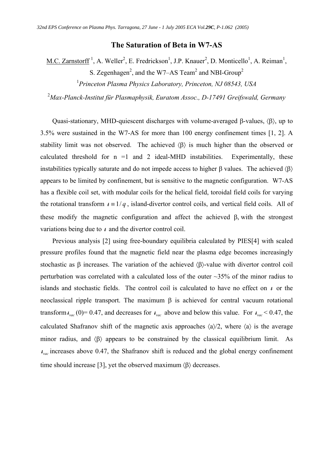## **The Saturation of Beta in W7-AS**

M.C. Zarnstorff<sup>1</sup>, A. Weller<sup>2</sup>, E. Fredrickson<sup>1</sup>, J.P. Knauer<sup>2</sup>, D. Monticello<sup>1</sup>, A. Reiman<sup>1</sup>, S. Zegenhagen<sup>2</sup>, and the W7–AS Team<sup>2</sup> and NBI-Group<sup>2</sup>

1 *Princeton Plasma Physics Laboratory, Princeton, NJ 08543, USA* 

<sup>2</sup>*Max-Planck-Institut für Plasmaphysik, Euratom Assoc., D-17491 Greifswald, Germany* 

Quasi-stationary, MHD-quiescent discharges with volume-averaged  $\beta$ -values,  $\langle \beta \rangle$ , up to 3.5% were sustained in the W7-AS for more than 100 energy confinement times [1, 2]. A stability limit was not observed. The achieved  $\langle \beta \rangle$  is much higher than the observed or calculated threshold for  $n =1$  and 2 ideal-MHD instabilities. Experimentally, these instabilities typically saturate and do not impede access to higher  $\beta$  values. The achieved  $\langle \beta \rangle$ appears to be limited by confinement, but is sensitive to the magnetic configuration. W7-AS has a flexible coil set, with modular coils for the helical field, toroidal field coils for varying the rotational transform  $t = 1/q$ , island-divertor control coils, and vertical field coils. All of these modify the magnetic configuration and affect the achieved  $\beta$ , with the strongest variations being due to  $\ell$  and the divertor control coil.

Previous analysis [2] using free-boundary equilibria calculated by PIES[4] with scaled pressure profiles found that the magnetic field near the plasma edge becomes increasingly stochastic as  $\beta$  increases. The variation of the achieved  $\langle \beta \rangle$ -value with divertor control coil perturbation was correlated with a calculated loss of the outer  $\sim$ 35% of the minor radius to islands and stochastic fields. The control coil is calculated to have no effect on  $\ell$  or the neoclassical ripple transport. The maximum  $\beta$  is achieved for central vacuum rotational transform  $t_{vac}$  (0)= 0.47, and decreases for  $t_{vac}$  above and below this value. For  $t_{vac}$  < 0.47, the calculated Shafranov shift of the magnetic axis approaches  $\langle a \rangle/2$ , where  $\langle a \rangle$  is the average minor radius, and  $\langle \beta \rangle$  appears to be constrained by the classical equilibrium limit. As  $v_{\text{vac}}$  increases above 0.47, the Shafranov shift is reduced and the global energy confinement time should increase [3], yet the observed maximum  $\langle \beta \rangle$  decreases.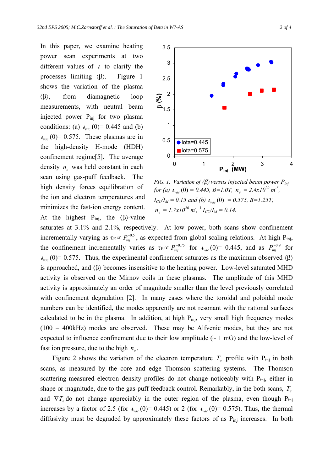In this paper, we examine heating power scan experiments at two different values of  $\ell$  to clarify the processes limiting  $\langle \beta \rangle$ . Figure 1 shows the variation of the plasma  $\langle \beta \rangle$ , from diamagnetic loop measurements, with neutral beam injected power Pinj for two plasma conditions: (a)  $t_{vac}(0) = 0.445$  and (b)  $v_{vac}(0)$ = 0.575. These plasmas are in the high-density H-mode (HDH) confinement regime[5]. The average density  $\bar{n}_e$  was held constant in each scan using gas-puff feedback. The high density forces equilibration of the ion and electron temperatures and minimizes the fast-ion energy content. At the highest  $P_{\text{ini}}$ , the  $\langle \beta \rangle$ -value



*FIG. 1. Variation of*  $\langle \beta \rangle$  *versus injected beam power P*<sub>*inj</sub>*</sub> *for (a)*  $\iota_{\text{vac}}(0) = 0.445$ ,  $B = 1.0T$ ,  $\bar{n}_e = 2.4 \times 10^{20} \text{ m}^3$ ,  $I_{CC}/I_M = 0.15$  and (b)  $t_{vac}(0) = 0.575$ ,  $B = 1.25T$ ,  $\overline{n}_e = 1.7x10^{20}$  *m*<sup> $\overline{a}$ , <sup>3</sup>  $I_{CC}/I_M = 0.14$ .</sup>

saturates at 3.1% and 2.1%, respectively. At low power, both scans show confinement incrementally varying as  $\tau_E \propto P_{inj}^{-0.5}$ , as expected from global scaling relations. At high  $P_{inj}$ , the confinement incrementally varies as  $\tau_E \propto P_{inj}^{-0.75}$  for  $t_{vac}(0) = 0.445$ , and as  $P_{inj}^{-0.9}$  for  $v_{\text{vac}}(0)$  = 0.575. Thus, the experimental confinement saturates as the maximum observed  $\langle \beta \rangle$ is approached, and  $\langle \beta \rangle$  becomes insensitive to the heating power. Low-level saturated MHD activity is observed on the Mirnov coils in these plasmas. The amplitude of this MHD activity is approximately an order of magnitude smaller than the level previously correlated with confinement degradation [2]. In many cases where the toroidal and poloidal mode numbers can be identified, the modes apparently are not resonant with the rational surfaces calculated to be in the plasma. In addition, at high  $P_{\text{ini}}$ , very small high frequency modes (100 – 400kHz) modes are observed. These may be Alfvenic modes, but they are not expected to influence confinement due to their low amplitude  $(\sim 1 \text{ mG})$  and the low-level of fast ion pressure, due to the high  $\bar{n}_e$ .

Figure 2 shows the variation of the electron temperature  $T_e$  profile with  $P_{\text{inj}}$  in both scans, as measured by the core and edge Thomson scattering systems. The Thomson scattering-measured electron density profiles do not change noticeably with P<sub>ini</sub>, either in shape or magnitude, due to the gas-puff feedback control. Remarkably, in the both scans, *T<sup>e</sup>* and  $\nabla T_e$  do not change appreciably in the outer region of the plasma, even though  $P_{\text{ini}}$ increases by a factor of 2.5 (for  $t_{vac}(0)$ = 0.445) or 2 (for  $t_{vac}(0)$ = 0.575). Thus, the thermal diffusivity must be degraded by approximately these factors of as  $P_{\text{ini}}$  increases. In both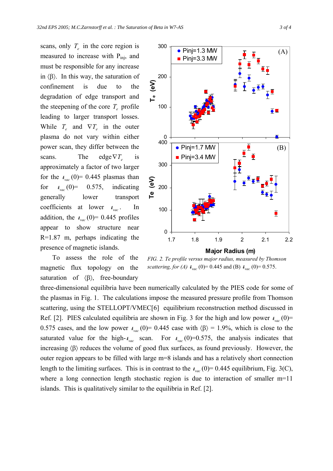scans, only  $T_e$  in the core region is measured to increase with P<sub>inj</sub>, and must be responsible for any increase in  $\langle \beta \rangle$ . In this way, the saturation of confinement is due to the degradation of edge transport and the steepening of the core  $T_e$  profile leading to larger transport losses. While  $T_e$  and  $\nabla T_e$  in the outer plasma do not vary within either power scan, they differ between the scans. The edge  $\nabla T_e$  is approximately a factor of two larger for the  $t_{\text{vac}}(0)$  = 0.445 plasmas than for  $t_{\text{vac}}(0) = 0.575$ , indicating generally lower transport coefficients at lower  $t_{vac}$ . In addition, the  $t_{\text{vac}}(0)$  = 0.445 profiles appear to show structure near R=1.87 m, perhaps indicating the presence of magnetic islands.



To assess the role of the magnetic flux topology on the saturation of  $\langle \beta \rangle$ , free-boundary



three-dimensional equilibria have been numerically calculated by the PIES code for some of the plasmas in Fig. 1. The calculations impose the measured pressure profile from Thomson scattering, using the STELLOPT/VMEC[6] equilibrium reconstruction method discussed in Ref. [2]. PIES calculated equilibria are shown in Fig. 3 for the high and low power  $t_{vac}(0)$ = 0.575 cases, and the low power  $t_{vac}$  (0)= 0.445 case with  $\langle \beta \rangle$  = 1.9%, which is close to the saturated value for the high- $t_{vac}$  scan. For  $t_{vac}$  (0)=0.575, the analysis indicates that increasing  $\langle \beta \rangle$  reduces the volume of good flux surfaces, as found previously. However, the outer region appears to be filled with large m=8 islands and has a relatively short connection length to the limiting surfaces. This is in contrast to the  $t_{vac}(0)$  = 0.445 equilibrium, Fig. 3(C), where a long connection length stochastic region is due to interaction of smaller m=11 islands. This is qualitatively similar to the equilibria in Ref. [2].